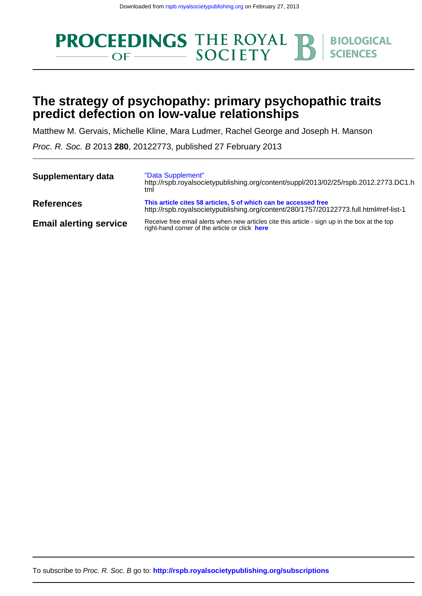

# **predict defection on low-value relationships The strategy of psychopathy: primary psychopathic traits**

Matthew M. Gervais, Michelle Kline, Mara Ludmer, Rachel George and Joseph H. Manson

Proc. R. Soc. B 2013 **280**, 20122773, published 27 February 2013

| <b>Supplementary data</b>     | "Data Supplement"<br>http://rspb.royalsocietypublishing.org/content/suppl/2013/02/25/rspb.2012.2773.DC1.h<br>tml                                         |  |  |  |  |
|-------------------------------|----------------------------------------------------------------------------------------------------------------------------------------------------------|--|--|--|--|
| <b>References</b>             | This article cites 58 articles, 5 of which can be accessed free<br>http://rspb.royalsocietypublishing.org/content/280/1757/20122773.full.html#ref-list-1 |  |  |  |  |
| <b>Email alerting service</b> | Receive free email alerts when new articles cite this article - sign up in the box at the top<br>right-hand corner of the article or click here          |  |  |  |  |

To subscribe to Proc. R. Soc. B go to: **<http://rspb.royalsocietypublishing.org/subscriptions>**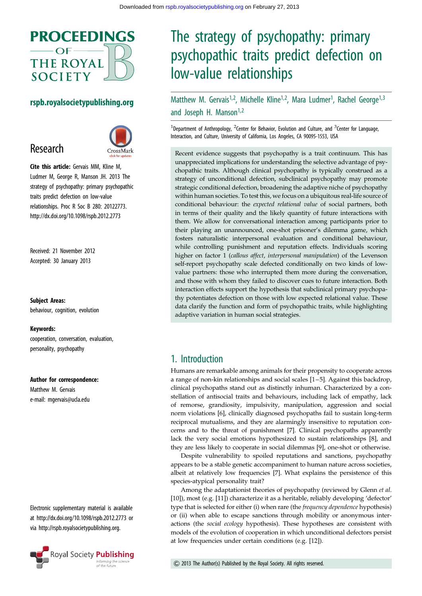

### rspb.royalsocietypublishing.org

# Research



Cite this article: Gervais MM, Kline M, Ludmer M, George R, Manson JH. 2013 The strategy of psychopathy: primary psychopathic traits predict defection on low-value relationships. Proc R Soc B 280: 20122773. http://dx.doi.org/10.1098/rspb.2012.2773

Received: 21 November 2012 Accepted: 30 January 2013

Subject Areas:

behaviour, cognition, evolution

#### Keywords:

cooperation, conversation, evaluation, personality, psychopathy

#### Author for correspondence:

Matthew M. Gervais e-mail: [mgervais@ucla.edu](mailto:mgervais@ucla.edu)

Electronic supplementary material is available at<http://dx.doi.org/10.1098/rspb.2012.2773> or via<http://rspb.royalsocietypublishing.org>.



# The strategy of psychopathy: primary psychopathic traits predict defection on low-value relationships

Matthew M. Gervais<sup>1,2</sup>, Michelle Kline<sup>1,2</sup>, Mara Ludmer<sup>1</sup>, Rachel George<sup>1,3</sup> and Joseph H. Manson<sup>1,2</sup>

<sup>1</sup>Department of Anthropology, <sup>2</sup>Center for Behavior, Evolution and Culture, and <sup>3</sup>Center for Language, Interaction, and Culture, University of California, Los Angeles, CA 90095-1553, USA

Recent evidence suggests that psychopathy is a trait continuum. This has unappreciated implications for understanding the selective advantage of psychopathic traits. Although clinical psychopathy is typically construed as a strategy of unconditional defection, subclinical psychopathy may promote strategic conditional defection, broadening the adaptive niche of psychopathy within human societies. To test this, we focus on a ubiquitous real-life source of conditional behaviour: the expected relational value of social partners, both in terms of their quality and the likely quantity of future interactions with them. We allow for conversational interaction among participants prior to their playing an unannounced, one-shot prisoner's dilemma game, which fosters naturalistic interpersonal evaluation and conditional behaviour, while controlling punishment and reputation effects. Individuals scoring higher on factor 1 (callous affect, interpersonal manipulation) of the Levenson self-report psychopathy scale defected conditionally on two kinds of lowvalue partners: those who interrupted them more during the conversation, and those with whom they failed to discover cues to future interaction. Both interaction effects support the hypothesis that subclinical primary psychopathy potentiates defection on those with low expected relational value. These data clarify the function and form of psychopathic traits, while highlighting adaptive variation in human social strategies.

# 1. Introduction

Humans are remarkable among animals for their propensity to cooperate across a range of non-kin relationships and social scales [\[1](#page-7-0)–[5](#page-7-0)]. Against this backdrop, clinical psychopaths stand out as distinctly inhuman. Characterized by a constellation of antisocial traits and behaviours, including lack of empathy, lack of remorse, grandiosity, impulsivity, manipulation, aggression and social norm violations [[6](#page-7-0)], clinically diagnosed psychopaths fail to sustain long-term reciprocal mutualisms, and they are alarmingly insensitive to reputation concerns and to the threat of punishment [\[7\]](#page-7-0). Clinical psychopaths apparently lack the very social emotions hypothesized to sustain relationships [[8](#page-7-0)], and they are less likely to cooperate in social dilemmas [[9](#page-7-0)], one-shot or otherwise.

Despite vulnerability to spoiled reputations and sanctions, psychopathy appears to be a stable genetic accompaniment to human nature across societies, albeit at relatively low frequencies [\[7\]](#page-7-0). What explains the persistence of this species-atypical personality trait?

Among the adaptationist theories of psychopathy (reviewed by Glenn et al. [[10\]](#page-7-0)), most (e.g. [\[11](#page-7-0)]) characterize it as a heritable, reliably developing 'defector' type that is selected for either (i) when rare (the frequency dependence hypothesis) or (ii) when able to escape sanctions through mobility or anonymous interactions (the social ecology hypothesis). These hypotheses are consistent with models of the evolution of cooperation in which unconditional defectors persist at low frequencies under certain conditions (e.g. [\[12](#page-7-0)]).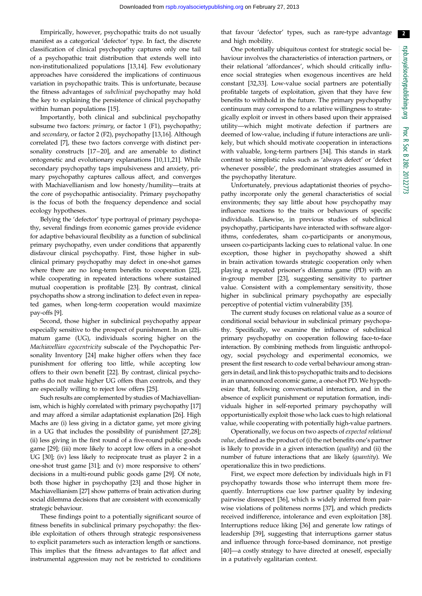2

Empirically, however, psychopathic traits do not usually manifest as a categorical 'defector' type. In fact, the discrete classification of clinical psychopathy captures only one tail of a psychopathic trait distribution that extends well into non-institutionalized populations [\[13,14](#page-7-0)]. Few evolutionary approaches have considered the implications of continuous variation in psychopathic traits. This is unfortunate, because the fitness advantages of subclinical psychopathy may hold the key to explaining the persistence of clinical psychopathy within human populations [\[15](#page-7-0)].

Importantly, both clinical and subclinical psychopathy subsume two factors: *primary*, or factor 1 (F1), psychopathy; and secondary, or factor 2 (F2), psychopathy [[13,16](#page-7-0)]. Although correlated [\[7\]](#page-7-0), these two factors converge with distinct personality constructs [[17](#page-7-0) –[20\]](#page-7-0), and are amenable to distinct ontogenetic and evolutionary explanations [[10,11,21](#page-7-0)]. While secondary psychopathy taps impulsiveness and anxiety, primary psychopathy captures callous affect, and converges with Machiavellianism and low honesty/humility—traits at the core of psychopathic antisociality. Primary psychopathy is the focus of both the frequency dependence and social ecology hypotheses.

Belying the 'defector' type portrayal of primary psychopathy, several findings from economic games provide evidence for adaptive behavioural flexibility as a function of subclinical primary psychopathy, even under conditions that apparently disfavour clinical psychopathy. First, those higher in subclinical primary psychopathy may defect in one-shot games where there are no long-term benefits to cooperation [[22](#page-7-0)], while cooperating in repeated interactions where sustained mutual cooperation is profitable [[23](#page-7-0)]. By contrast, clinical psychopaths show a strong inclination to defect even in repeated games, when long-term cooperation would maximize pay-offs [\[9\]](#page-7-0).

Second, those higher in subclinical psychopathy appear especially sensitive to the prospect of punishment. In an ultimatum game (UG), individuals scoring higher on the Machiavellian egocentricity subscale of the Psychopathic Personality Inventory [\[24](#page-7-0)] make higher offers when they face punishment for offering too little, while accepting low offers to their own benefit [\[22](#page-7-0)]. By contrast, clinical psychopaths do not make higher UG offers than controls, and they are especially willing to reject low offers [[25\]](#page-7-0).

Such results are complemented by studies of Machiavellianism, which is highly correlated with primary psychopathy [[17\]](#page-7-0) and may afford a similar adaptationist explanation [\[26\]](#page-7-0). High Machs are (i) less giving in a dictator game, yet more giving in a UG that includes the possibility of punishment [[27](#page-7-0),[28](#page-7-0)]; (ii) less giving in the first round of a five-round public goods game [[29\]](#page-7-0); (iii) more likely to accept low offers in a one-shot UG [[30\]](#page-8-0); (iv) less likely to reciprocate trust as player 2 in a one-shot trust game [\[31\]](#page-8-0); and (v) more responsive to others' decisions in a multi-round public goods game [[29](#page-7-0)]. Of note, both those higher in psychopathy [[23](#page-7-0)] and those higher in Machiavellianism [\[27\]](#page-7-0) show patterns of brain activation during social dilemma decisions that are consistent with economically strategic behaviour.

These findings point to a potentially significant source of fitness benefits in subclinical primary psychopathy: the flexible exploitation of others through strategic responsiveness to explicit parameters such as interaction length or sanctions. This implies that the fitness advantages to flat affect and instrumental aggression may not be restricted to conditions

that favour 'defector' types, such as rare-type advantage and high mobility.

One potentially ubiquitous context for strategic social behaviour involves the characteristics of interaction partners, or their relational 'affordances', which should critically influence social strategies when exogenous incentives are held constant [[32,33](#page-8-0)]. Low-value social partners are potentially profitable targets of exploitation, given that they have few benefits to withhold in the future. The primary psychopathy continuum may correspond to a relative willingness to strategically exploit or invest in others based upon their appraised utility—which might motivate defection if partners are deemed of low-value, including if future interactions are unlikely, but which should motivate cooperation in interactions with valuable, long-term partners [[34\]](#page-8-0). This stands in stark contrast to simplistic rules such as 'always defect' or 'defect whenever possible', the predominant strategies assumed in the psychopathy literature.

Unfortunately, previous adaptationist theories of psychopathy incorporate only the general characteristics of social environments; they say little about how psychopathy may influence reactions to the traits or behaviours of specific individuals. Likewise, in previous studies of subclinical psychopathy, participants have interacted with software algorithms, confederates, sham co-participants or anonymous, unseen co-participants lacking cues to relational value. In one exception, those higher in psychopathy showed a shift in brain activation towards strategic cooperation only when playing a repeated prisoner's dilemma game (PD) with an in-group member [\[23](#page-7-0)], suggesting sensitivity to partner value. Consistent with a complementary sensitivity, those higher in subclinical primary psychopathy are especially perceptive of potential victim vulnerability [\[35](#page-8-0)].

The current study focuses on relational value as a source of conditional social behaviour in subclinical primary psychopathy. Specifically, we examine the influence of subclinical primary psychopathy on cooperation following face-to-face interaction. By combining methods from linguistic anthropology, social psychology and experimental economics, we present the first research to code verbal behaviour among strangers in detail, and link this to psychopathic traits and to decisions in an unannounced economic game, a one-shot PD. We hypothesize that, following conversational interaction, and in the absence of explicit punishment or reputation formation, individuals higher in self-reported primary psychopathy will opportunistically exploit those who lack cues to high relational value, while cooperating with potentially high-value partners.

Operationally, we focus on two aspects of expected relational value, defined as the product of (i) the net benefits one's partner is likely to provide in a given interaction (quality) and (ii) the number of future interactions that are likely (quantity). We operationalize this in two predictions.

First, we expect more defection by individuals high in F1 psychopathy towards those who interrupt them more frequently. Interruptions cue low partner quality by indexing pairwise disrespect [\[36](#page-8-0)], which is widely inferred from pairwise violations of politeness norms [[37\]](#page-8-0), and which predicts received indifference, intolerance and even exploitation [[38\]](#page-8-0). Interruptions reduce liking [\[36](#page-8-0)] and generate low ratings of leadership [\[39](#page-8-0)], suggesting that interruptions garner status and influence through force-based dominance, not prestige [[40\]](#page-8-0)—a costly strategy to have directed at oneself, especially in a putatively egalitarian context.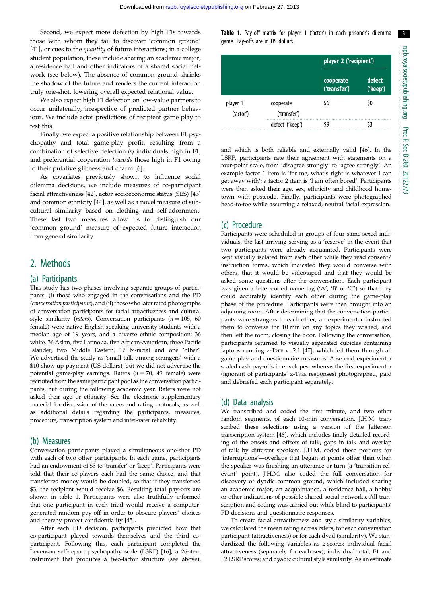Second, we expect more defection by high F1s towards those with whom they fail to discover 'common ground' [\[41](#page-8-0)], or cues to the *quantity* of future interactions; in a college student population, these include sharing an academic major, a residence hall and other indicators of a shared social network (see below). The absence of common ground shrinks the shadow of the future and renders the current interaction truly one-shot, lowering overall expected relational value.

We also expect high F1 defection on low-value partners to occur unilaterally, irrespective of predicted partner behaviour. We include actor predictions of recipient game play to test this.

Finally, we expect a positive relationship between F1 psychopathy and total game-play profit, resulting from a combination of selective defection by individuals high in F1, and preferential cooperation towards those high in F1 owing to their putative glibness and charm [[6](#page-7-0)].

As covariates previously shown to influence social dilemma decisions, we include measures of co-participant facial attractiveness [\[42](#page-8-0)], actor socioeconomic status (SES) [[43\]](#page-8-0) and common ethnicity [\[44](#page-8-0)], as well as a novel measure of subcultural similarity based on clothing and self-adornment. These last two measures allow us to distinguish our 'common ground' measure of expected future interaction from general similarity.

# 2. Methods

#### (a) Participants

This study has two phases involving separate groups of participants: (i) those who engaged in the conversations and the PD (conversation participants), and (ii) those who later rated photographs of conversation participants for facial attractiveness and cultural style similarity (raters). Conversation participants ( $n = 105$ , 60 female) were native English-speaking university students with a median age of 19 years, and a diverse ethnic composition: 36 white, 36 Asian, five Latino/a, five African-American, three Pacific Islander, two Middle Eastern, 17 bi-racial and one 'other'. We advertised the study as 'small talk among strangers' with a \$10 show-up payment (US dollars), but we did not advertise the potential game-play earnings. Raters  $(n = 70, 49$  female) were recruited from the same participant pool as the conversation participants, but during the following academic year. Raters were not asked their age or ethnicity. See the electronic supplementary material for discussion of the raters and rating protocols, as well as additional details regarding the participants, measures, procedure, transcription system and inter-rater reliability.

#### (b) Measures

Conversation participants played a simultaneous one-shot PD with each of two other participants. In each game, participants had an endowment of \$3 to 'transfer' or 'keep'. Participants were told that their co-players each had the same choice, and that transferred money would be doubled, so that if they transferred \$3, the recipient would receive \$6. Resulting total pay-offs are shown in table 1. Participants were also truthfully informed that one participant in each triad would receive a computergenerated random pay-off in order to obscure players' choices and thereby protect confidentiality [[45](#page-8-0)].

After each PD decision, participants predicted how that co-participant played towards themselves and the third coparticipant. Following this, each participant completed the Levenson self-report psychopathy scale (LSRP) [\[16\]](#page-7-0), a 26-item instrument that produces a two-factor structure (see above),

Table 1. Pay-off matrix for player 1 ('actor') in each prisoner's dilemma game. Pay-offs are in US dollars.

|                       |                           | player 2 ('recipient')    |                    |  |
|-----------------------|---------------------------|---------------------------|--------------------|--|
|                       |                           | cooperate<br>('transfer') | defect<br>('keep') |  |
| player 1<br>('actor') | cooperate<br>('transfer') | \$6                       | \$0                |  |
|                       | defect ('keep')           | ٢9                        |                    |  |

and which is both reliable and externally valid [\[46\]](#page-8-0). In the LSRP, participants rate their agreement with statements on a four-point scale, from 'disagree strongly' to 'agree strongly'. An example factor 1 item is 'for me, what's right is whatever I can get away with'; a factor 2 item is 'I am often bored'. Participants were then asked their age, sex, ethnicity and childhood hometown with postcode. Finally, participants were photographed head-to-toe while assuming a relaxed, neutral facial expression.

#### (c) Procedure

Participants were scheduled in groups of four same-sexed individuals, the last-arriving serving as a 'reserve' in the event that two participants were already acquainted. Participants were kept visually isolated from each other while they read consent/ instruction forms, which indicated they would converse with others, that it would be videotaped and that they would be asked some questions after the conversation. Each participant was given a letter-coded name tag  $(A', B' \text{ or } C')$  so that they could accurately identify each other during the game-play phase of the procedure. Participants were then brought into an adjoining room. After determining that the conversation participants were strangers to each other, an experimenter instructed them to converse for 10 min on any topics they wished, and then left the room, closing the door. Following the conversation, participants returned to visually separated cubicles containing laptops running z-TREE v. 2.1 [[47](#page-8-0)], which led them through all game play and questionnaire measures. A second experimenter sealed cash pay-offs in envelopes, whereas the first experimenter (ignorant of participants' z-TREE responses) photographed, paid and debriefed each participant separately.

#### (d) Data analysis

We transcribed and coded the first minute, and two other random segments, of each 10-min conversation. J.H.M. transcribed these selections using a version of the Jefferson transcription system [\[48\]](#page-8-0), which includes finely detailed recording of the onsets and offsets of talk, gaps in talk and overlap of talk by different speakers. J.H.M. coded these portions for 'interruptions'—overlaps that began at points other than when the speaker was finishing an utterance or turn (a 'transition-relevant' point). J.H.M. also coded the full conversation for discovery of dyadic common ground, which included sharing an academic major, an acquaintance, a residence hall, a hobby or other indications of possible shared social networks. All transcription and coding was carried out while blind to participants' PD decisions and questionnaire responses.

To create facial attractiveness and style similarity variables, we calculated the mean rating across raters, for each conversation participant (attractiveness) or for each dyad (similarity). We standardized the following variables as z-scores: individual facial attractiveness (separately for each sex); individual total, F1 and F2 LSRP scores; and dyadic cultural style similarity. As an estimate 3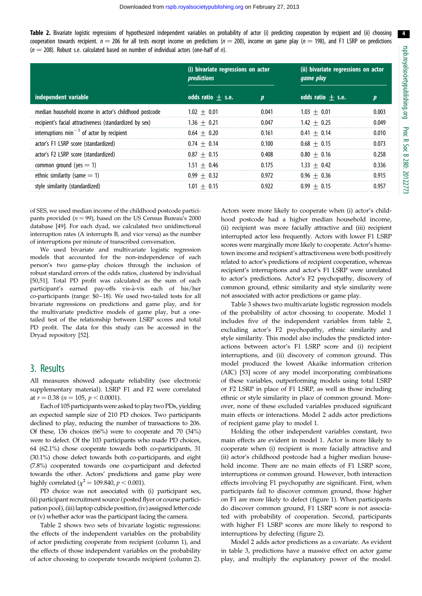4

Table 2. Bivariate logistic regressions of hypothesized independent variables on probability of actor (i) predicting cooperation by recipient and (ii) choosing cooperation towards recipient.  $n = 206$  for all tests except income on predictions ( $n = 200$ ), income on game play ( $n = 198$ ), and F1 LSRP on predictions  $(n = 208)$ . Robust s.e. calculated based on number of individual actors (one-half of n).

|                                                         | (i) bivariate regressions on actor<br><i>predictions</i> |       | (ii) bivariate regressions on actor<br><i>game play</i> |       |
|---------------------------------------------------------|----------------------------------------------------------|-------|---------------------------------------------------------|-------|
| independent variable                                    | odds ratio $+$ s.e.                                      | D     | odds ratio $+$ s.e.                                     | Ŋ     |
| median household income in actor's childhood postcode   | $1.02 + 0.01$                                            | 0.041 | $1.03 + 0.01$                                           | 0.003 |
| recipient's facial attractiveness (standardized by sex) | $1.36 + 0.21$                                            | 0.047 | $1.42 + 0.25$                                           | 0.049 |
| interruptions $min^{-1}$ of actor by recipient          | $0.64 + 0.20$                                            | 0.161 | $0.41 + 0.14$                                           | 0.010 |
| actor's F1 LSRP score (standardized)                    | $0.74 + 0.14$                                            | 0.100 | $0.68 + 0.15$                                           | 0.073 |
| actor's F2 LSRP score (standardized)                    | $0.87 + 0.15$                                            | 0.408 | $0.80 + 0.16$                                           | 0.258 |
| common ground (yes $=$ 1)                               | $1.51 + 0.46$                                            | 0.175 | $1.33 + 0.42$                                           | 0.336 |
| ethnic similarity (same $=$ 1)                          | $0.99 + 0.32$                                            | 0.972 | $0.96 + 0.36$                                           | 0.915 |
| style similarity (standardized)                         | $1.01 + 0.15$                                            | 0.922 | $0.99 + 0.15$                                           | 0.957 |

of SES, we used median income of the childhood postcode participants provided ( $n = 99$ ), based on the US Census Bureau's 2000 database [\[49\]](#page-8-0). For each dyad, we calculated two unidirectional interruption rates (A interrupts B, and vice versa) as the number of interruptions per minute of transcribed conversation.

We used bivariate and multivariate logistic regression models that accounted for the non-independence of each person's two game-play choices through the inclusion of robust standard errors of the odds ratios, clustered by individual [\[50,51](#page-8-0)]. Total PD profit was calculated as the sum of each participant's earned pay-offs vis-à-vis each of his/her co-participants (range: \$0-18). We used two-tailed tests for all bivariate regressions on predictions and game play, and for the multivariate predictive models of game play, but a onetailed test of the relationship between LSRP scores and total PD profit. The data for this study can be accessed in the Dryad repository [\[52\]](#page-8-0).

## 3. Results

All measures showed adequate reliability (see electronic supplementary material). LSRP F1 and F2 were correlated at  $r = 0.38$  ( $n = 105$ ,  $p < 0.0001$ ).

Each of 105 participants were asked to play two PDs, yielding an expected sample size of 210 PD choices. Two participants declined to play, reducing the number of transactions to 206. Of these, 136 choices (66%) were to cooperate and 70 (34%) were to defect. Of the 103 participants who made PD choices, 64 (62.1%) chose cooperate towards both co-participants, 31 (30.1%) chose defect towards both co-participants, and eight (7.8%) cooperated towards one co-participant and defected towards the other. Actors' predictions and game play were highly correlated ( $\chi^2$  = 109.840, p < 0.001).

PD choice was not associated with (i) participant sex, (ii) participant recruitment source (posted flyer or course participation pool), (iii) laptop cubicle position, (iv) assigned letter code or (v) whether actor was the participant facing the camera.

Table 2 shows two sets of bivariate logistic regressions: the effects of the independent variables on the probability of actor predicting cooperate from recipient (column 1), and the effects of those independent variables on the probability of actor choosing to cooperate towards recipient (column 2). Actors were more likely to cooperate when (i) actor's childhood postcode had a higher median household income, (ii) recipient was more facially attractive and (iii) recipient interrupted actor less frequently. Actors with lower F1 LSRP scores were marginally more likely to cooperate. Actor's hometown income and recipient's attractiveness were both positively related to actor's predictions of recipient cooperation, whereas recipient's interruptions and actor's F1 LSRP were unrelated to actor's predictions. Actor's F2 psychopathy, discovery of common ground, ethnic similarity and style similarity were not associated with actor predictions or game play.

[Table 3](#page-5-0) shows two multivariate logistic regression models of the probability of actor choosing to cooperate. Model 1 includes five of the independent variables from table 2, excluding actor's F2 psychopathy, ethnic similarity and style similarity. This model also includes the predicted interactions between actor's F1 LSRP score and (i) recipient interruptions, and (ii) discovery of common ground. This model produced the lowest Akaike information criterion (AIC) [\[53](#page-8-0)] score of any model incorporating combinations of these variables, outperforming models using total LSRP or F2 LSRP in place of F1 LSRP, as well as those including ethnic or style similarity in place of common ground. Moreover, none of these excluded variables produced significant main effects or interactions. Model 2 adds actor predictions of recipient game play to model 1.

Holding the other independent variables constant, two main effects are evident in model 1. Actor is more likely to cooperate when (i) recipient is more facially attractive and (ii) actor's childhood postcode had a higher median household income. There are no main effects of F1 LSRP score, interruptions or common ground. However, both interaction effects involving F1 psychopathy are significant. First, when participants fail to discover common ground, those higher on F1 are more likely to defect [\(figure 1](#page-5-0)). When participants do discover common ground, F1 LSRP score is not associated with probability of cooperation. Second, participants with higher F1 LSRP scores are more likely to respond to interruptions by defecting ([figure 2\)](#page-5-0).

Model 2 adds actor predictions as a covariate. As evident in [table 3](#page-5-0), predictions have a massive effect on actor game play, and multiply the explanatory power of the model.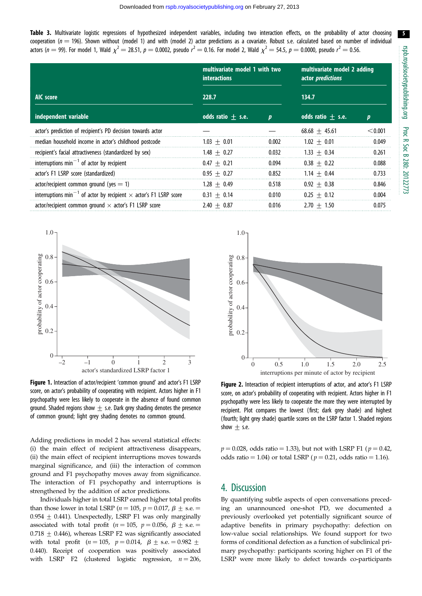5

<span id="page-5-0"></span>Table 3. Multivariate logistic regressions of hypothesized independent variables, including two interaction effects, on the probability of actor choosing cooperation ( $n = 196$ ). Shown without (model 1) and with (model 2) actor predictions as a covariate. Robust s.e. calculated based on number of individual actors ( $n=$  99). For model 1, Wald  $\chi^2=$  28.51,  $p=$  0.0002, pseudo  $r^2=$  0.16. For model 2, Wald  $\chi^2=$  54.5,  $p=$  0.0000, pseudo  $r^2=$  0.56.

|                                                                                      | multivariate model 1 with two<br><b>interactions</b> |                  | multivariate model 2 adding<br>actor <i>predictions</i> |         |
|--------------------------------------------------------------------------------------|------------------------------------------------------|------------------|---------------------------------------------------------|---------|
| AIC score                                                                            | 228.7                                                |                  | 134.7                                                   |         |
| independent variable                                                                 | odds ratio $\pm$ s.e.                                | $\boldsymbol{p}$ | odds ratio $+$ s.e.                                     | p       |
| actor's prediction of recipient's PD decision towards actor                          |                                                      |                  | $68.68 + 45.61$                                         | < 0.001 |
| median household income in actor's childhood postcode                                | $1.03 + 0.01$                                        | 0.002            | $1.02 + 0.01$                                           | 0.049   |
| recipient's facial attractiveness (standardized by sex)                              | $1.48 + 0.27$                                        | 0.032            | $1.33 + 0.34$                                           | 0.261   |
| interruptions $min^{-1}$ of actor by recipient                                       | $0.47 + 0.21$                                        | 0.094            | $0.38 + 0.22$                                           | 0.088   |
| actor's F1 LSRP score (standardized)                                                 | $0.95 + 0.27$                                        | 0.852            | $1.14 + 0.44$                                           | 0.733   |
| $actor/recipient common ground (yes = 1)$                                            | $1.28 + 0.49$                                        | 0.518            | $0.92 + 0.38$                                           | 0.846   |
| interruptions min <sup>-1</sup> of actor by recipient $\times$ actor's F1 LSRP score | $0.31 + 0.14$                                        | 0.010            | $0.25 + 0.12$                                           | 0.004   |
| actor/recipient common ground $\times$ actor's F1 LSRP score                         | $2.40 + 0.87$                                        | 0.016            | $2.70 + 1.50$                                           | 0.075   |



Figure 1. Interaction of actor/recipient 'common ground' and actor's F1 LSRP score, on actor's probability of cooperating with recipient. Actors higher in F1 psychopathy were less likely to cooperate in the absence of found common ground. Shaded regions show  $+$  s.e. Dark grey shading denotes the presence of common ground; light grey shading denotes no common ground.

Adding predictions in model 2 has several statistical effects: (i) the main effect of recipient attractiveness disappears, (ii) the main effect of recipient interruptions moves towards marginal significance, and (iii) the interaction of common ground and F1 psychopathy moves away from significance. The interaction of F1 psychopathy and interruptions is strengthened by the addition of actor predictions.

Individuals higher in total LSRP earned higher total profits than those lower in total LSRP ( $n = 105$ ,  $p = 0.017$ ,  $\beta +$  s.e. =  $0.954 + 0.441$ ). Unexpectedly, LSRP F1 was only marginally associated with total profit ( $n = 105$ ,  $p = 0.056$ ,  $\beta \pm$  s.e.  $=$  $0.718 + 0.446$ , whereas LSRP F2 was significantly associated with total profit ( $n = 105$ ,  $p = 0.014$ ,  $\beta \pm$  s.e.  $= 0.982 \pm$ 0.440). Receipt of cooperation was positively associated with LSRP F2 (clustered logistic regression,  $n = 206$ ,



Figure 2. Interaction of recipient interruptions of actor, and actor's F1 LSRP score, on actor's probability of cooperating with recipient. Actors higher in F1 psychopathy were less likely to cooperate the more they were interrupted by recipient. Plot compares the lowest (first; dark grey shade) and highest (fourth; light grey shade) quartile scores on the LSRP factor 1. Shaded regions show  $\pm$  s.e.

 $p = 0.028$ , odds ratio = 1.33), but not with LSRP F1 ( $p = 0.42$ , odds ratio = 1.04) or total LSRP ( $p = 0.21$ , odds ratio = 1.16).

## 4. Discussion

By quantifying subtle aspects of open conversations preceding an unannounced one-shot PD, we documented a previously overlooked yet potentially significant source of adaptive benefits in primary psychopathy: defection on low-value social relationships. We found support for two forms of conditional defection as a function of subclinical primary psychopathy: participants scoring higher on F1 of the LSRP were more likely to defect towards co-participants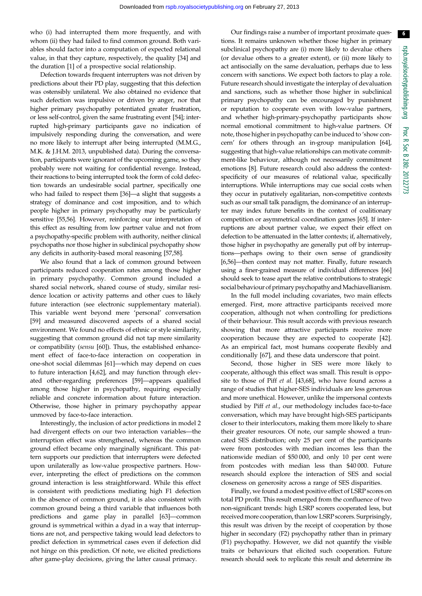who (i) had interrupted them more frequently, and with whom (ii) they had failed to find common ground. Both variables should factor into a computation of expected relational value, in that they capture, respectively, the quality [[34\]](#page-8-0) and the duration [[1](#page-7-0)] of a prospective social relationship.

Defection towards frequent interrupters was not driven by predictions about their PD play, suggesting that this defection was ostensibly unilateral. We also obtained no evidence that such defection was impulsive or driven by anger, nor that higher primary psychopathy potentiated greater frustration, or less self-control, given the same frustrating event [[54](#page-8-0)]; interrupted high-primary participants gave no indication of impulsively responding during the conversation, and were no more likely to interrupt after being interrupted (M.M.G., M.K. & J.H.M. 2013, unpublished data). During the conversation, participants were ignorant of the upcoming game, so they probably were not waiting for confidential revenge. Instead, their reactions to being interrupted took the form of cold defection towards an undesirable social partner, specifically one who had failed to respect them [\[36](#page-8-0)]—a slight that suggests a strategy of dominance and cost imposition, and to which people higher in primary psychopathy may be particularly sensitive [\[55,56\]](#page-8-0). However, reinforcing our interpretation of this effect as resulting from low partner value and not from a psychopathy-specific problem with authority, neither clinical psychopaths nor those higher in subclinical psychopathy show any deficits in authority-based moral reasoning [[57,58\]](#page-8-0).

We also found that a lack of common ground between participants reduced cooperation rates among those higher in primary psychopathy. Common ground included a shared social network, shared course of study, similar residence location or activity patterns and other cues to likely future interaction (see electronic supplementary material). This variable went beyond mere 'personal' conversation [\[59](#page-8-0)] and measured discovered aspects of a shared social environment. We found no effects of ethnic or style similarity, suggesting that common ground did not tap mere similarity or compatibility (sensu [\[60](#page-8-0)]). Thus, the established enhancement effect of face-to-face interaction on cooperation in one-shot social dilemmas [\[61](#page-8-0)]—which may depend on cues to future interaction [\[4](#page-7-0)[,62](#page-8-0)], and may function through elevated other-regarding preferences [[59\]](#page-8-0)—appears qualified among those higher in psychopathy, requiring especially reliable and concrete information about future interaction. Otherwise, those higher in primary psychopathy appear unmoved by face-to-face interaction.

Interestingly, the inclusion of actor predictions in model 2 had divergent effects on our two interaction variables—the interruption effect was strengthened, whereas the common ground effect became only marginally significant. This pattern supports our prediction that interrupters were defected upon unilaterally as low-value prospective partners. However, interpreting the effect of predictions on the common ground interaction is less straightforward. While this effect is consistent with predictions mediating high F1 defection in the absence of common ground, it is also consistent with common ground being a third variable that influences both predictions and game play in parallel [\[63](#page-8-0)]—common ground is symmetrical within a dyad in a way that interruptions are not, and perspective taking would lead defectors to predict defection in symmetrical cases even if defection did not hinge on this prediction. Of note, we elicited predictions after game-play decisions, giving the latter causal primacy.

Our findings raise a number of important proximate questions. It remains unknown whether those higher in primary subclinical psychopathy are (i) more likely to devalue others (or devalue others to a greater extent), or (ii) more likely to act antisocially on the same devaluation, perhaps due to less concern with sanctions. We expect both factors to play a role. Future research should investigate the interplay of devaluation and sanctions, such as whether those higher in subclinical primary psychopathy can be encouraged by punishment or reputation to cooperate even with low-value partners, and whether high-primary-psychopathy participants show normal emotional commitment to high-value partners. Of note, those higher in psychopathy can be induced to 'show concern' for others through an in-group manipulation [[64\]](#page-8-0), suggesting that high-value relationships can motivate commitment-like behaviour, although not necessarily commitment emotions [[8](#page-7-0)]. Future research could also address the contextspecificity of our measures of relational value, specifically interruptions. While interruptions may cue social costs when they occur in putatively egalitarian, non-competitive contexts such as our small talk paradigm, the dominance of an interrupter may index future benefits in the context of coalitionary competition or asymmetrical coordination games [\[65\]](#page-8-0). If interruptions are about partner value, we expect their effect on defection to be attenuated in the latter contexts; if, alternatively, those higher in psychopathy are generally put off by interruptions—perhaps owing to their own sense of grandiosity [[6](#page-7-0)[,56\]](#page-8-0)—then context may not matter. Finally, future research using a finer-grained measure of individual differences [\[66\]](#page-8-0) should seek to tease apart the relative contributions to strategic social behaviour of primary psychopathy and Machiavellianism.

In the full model including covariates, two main effects emerged. First, more attractive participants received more cooperation, although not when controlling for predictions of their behaviour. This result accords with previous research showing that more attractive participants receive more cooperation because they are expected to cooperate [[42\]](#page-8-0). As an empirical fact, most humans cooperate flexibly and conditionally [[67\]](#page-8-0), and these data underscore that point.

Second, those higher in SES were more likely to cooperate, although this effect was small. This result is opposite to those of Piff et al. [\[43,68](#page-8-0)], who have found across a range of studies that higher-SES individuals are less generous and more unethical. However, unlike the impersonal contexts studied by Piff et al., our methodology includes face-to-face conversation, which may have brought high-SES participants closer to their interlocutors, making them more likely to share their greater resources. Of note, our sample showed a truncated SES distribution; only 25 per cent of the participants were from postcodes with median incomes less than the nationwide median of \$50 000, and only 10 per cent were from postcodes with median less than \$40 000. Future research should explore the interaction of SES and social closeness on generosity across a range of SES disparities.

Finally, we found a modest positive effect of LSRP scores on total PD profit. This result emerged from the confluence of two non-significant trends: high LSRP scorers cooperated less, but received more cooperation, than low LSRP scorers. Surprisingly, this result was driven by the receipt of cooperation by those higher in secondary (F2) psychopathy rather than in primary (F1) psychopathy. However, we did not quantify the visible traits or behaviours that elicited such cooperation. Future research should seek to replicate this result and determine its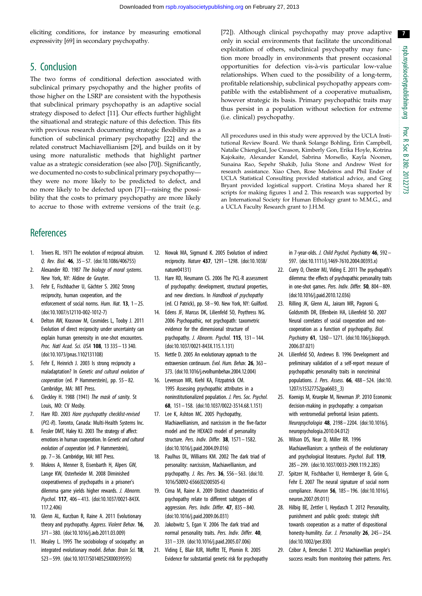<span id="page-7-0"></span>eliciting conditions, for instance by measuring emotional expressivity [[69](#page-8-0)] in secondary psychopathy.

# 5. Conclusion

The two forms of conditional defection associated with subclinical primary psychopathy and the higher profits of those higher on the LSRP are consistent with the hypothesis that subclinical primary psychopathy is an adaptive social strategy disposed to defect [11]. Our effects further highlight the situational and strategic nature of this defection. This fits with previous research documenting strategic flexibility as a function of subclinical primary psychopathy [22] and the related construct Machiavellianism [29], and builds on it by using more naturalistic methods that highlight partner value as a strategic consideration (see also [[70\]](#page-8-0)). Significantly, we documented no costs to subclinical primary psychopathy they were no more likely to be predicted to defect, and no more likely to be defected upon [\[71](#page-8-0)]—raising the possibility that the costs to primary psychopathy are more likely to accrue to those with extreme versions of the trait (e.g.

[[72\]](#page-8-0)). Although clinical psychopathy may prove adaptive only in social environments that facilitate the unconditional exploitation of others, subclinical psychopathy may function more broadly in environments that present occasional opportunities for defection vis-a`-vis particular low-value relationships. When cued to the possibility of a long-term, profitable relationship, subclinical psychopathy appears compatible with the establishment of a cooperative mutualism, however strategic its basis. Primary psychopathic traits may thus persist in a population without selection for extreme (i.e. clinical) psychopathy.

All procedures used in this study were approved by the UCLA Institutional Review Board. We thank Solange Bohling, Erin Campbell, Natalie Chiengkul, Joe Creason, Kimberly Gon, Erika Hoyle, Kotrina Kajokaite, Alexander Kandel, Sabrina Morsello, Kayla Noonen, Sunaina Rao, Sepehr Shakib, Julia Stone and Andrew West for research assistance. Xiao Chen, Rose Medeiros and Phil Ender of UCLA Statistical Consulting provided statistical advice, and Greg Bryant provided logistical support. Cristina Moya shared her R scripts for making figures [1](#page-5-0) and [2.](#page-5-0) This research was supported by an International Society for Human Ethology grant to M.M.G., and a UCLA Faculty Research grant to J.H.M.

# **References**

- 1. Trivers RL. 1971 The evolution of reciprocal altruism. Q. Rev. Biol. 46, 35 – 57. [\(doi:10.1086/406755](http://dx.doi.org/10.1086/406755))
- 2. Alexander RD. 1987 The biology of moral systems. New York, NY: Aldine de Gruyter.
- 3. Fehr E, Fischbacher U, Gächter S. 2002 Strong reciprocity, human cooperation, and the enforcement of social norms. Hum. Nat. 13, 1-25. [\(doi:10.1007/s12110-002-1012-7\)](http://dx.doi.org/10.1007/s12110-002-1012-7)
- 4. Delton AW, Krasnow M, Cosmides L, Tooby J. 2011 Evolution of direct reciprocity under uncertainty can explain human generosity in one-shot encounters. Proc. Natl Acad. Sci. USA 108, 13 335 – 13 340. [\(doi:10.1073/pnas.1102131108](http://dx.doi.org/10.1073/pnas.1102131108))
- 5. Fehr E, Heinrich J. 2003 Is strong reciprocity a maladaptation? In Genetic and cultural evolution of cooperation (ed. P Hammerstein), pp. 55– 82. Cambridge, MA: MIT Press.
- 6. Cleckley H. 1988 (1941) The mask of sanity. St Louis, MO: CV Mosby.
- 7. Hare RD. 2003 Hare psychopathy checklist-revised (PCL-R). Toronto, Canada: Multi-Health Systems Inc.
- 8. Fessler DMT, Haley KJ. 2003 The strategy of affect: emotions in human cooperation. In Genetic and cultural evolution of cooperation (ed. P Hammerstein), pp. 7–36. Cambridge, MA: MIT Press.
- 9. Mokros A, Menner B, Eisenbarth H, Alpers GW, Lange KW, Osterheider M. 2008 Diminished cooperativeness of psychopaths in a prisoner's dilemma game yields higher rewards. J. Abnorm. Psychol. 117, 406– 413. ([doi:10.1037/0021-843X.](http://dx.doi.org/10.1037/0021-843X.117.2.406) [117.2.406](http://dx.doi.org/10.1037/0021-843X.117.2.406))
- 10. Glenn AL, Kurzban R, Raine A. 2011 Evolutionary theory and psychopathy. Aggress. Violent Behav. 16, 371– 380. ([doi:10.1016/j.avb.2011.03.009\)](http://dx.doi.org/10.1016/j.avb.2011.03.009)
- 11. Mealey L. 1995 The sociobiology of sociopathy: an integrated evolutionary model. Behav. Brain Sci. 18, 523– 599. ([doi:10.1017/S0140525X00039595](http://dx.doi.org/10.1017/S0140525X00039595))
- 12. Nowak MA, Sigmund K. 2005 Evolution of indirect reciprocity. Nature 437, 1291– 1298. [\(doi:10.1038/](http://dx.doi.org/10.1038/nature04131) [nature04131](http://dx.doi.org/10.1038/nature04131))
- 13. Hare RD, Neumann CS. 2006 The PCL-R assessment of psychopathy: development, structural properties, and new directions. In Handbook of psychopathy (ed. CJ Patrick), pp. 58 – 90. New York, NY: Guilford.
- 14. Edens JF, Marcus DK, Lilienfeld SO, Poythress NG. 2006 Psychopathic, not psychopath: taxometric evidence for the dimensional structure of psychopathy. J. Abnorm. Psychol. 115, 131– 144. [\(doi:10.1037/0021-843X.115.1.131\)](http://dx.doi.org/10.1037/0021-843X.115.1.131)
- 15. Nettle D. 2005 An evolutionary approach to the extraversion continuum. Evol. Hum. Behav. 26, 363-373. ([doi:10.1016/j.evolhumbehav.2004.12.004](http://dx.doi.org/10.1016/j.evolhumbehav.2004.12.004))
- 16. Levenson MR, Kiehl KA, Fitzpatrick CM. 1995 Assessing psychopathic attributes in a noninstitutionalized population. J. Pers. Soc. Psychol. 68, 151– 158. ([doi:10.1037/0022-3514.68.1.151\)](http://dx.doi.org/10.1037/0022-3514.68.1.151)
- 17. Lee K, Ashton MC. 2005 Psychopathy, Machiavellianism, and narcissism in the five-factor model and the HEXACO model of personality structure. Pers. Indiv. Differ. 38, 1571 – 1582. [\(doi:10.1016/j.paid.2004.09.016](http://dx.doi.org/10.1016/j.paid.2004.09.016))
- 18. Paulhus DL, Williams KM. 2002 The dark triad of personality: narcissism, Machiavellianism, and psychopathy. J. Res. Pers. 36, 556– 563. [\(doi:10.](http://dx.doi.org/10.1016/S0092-6566(02)00505-6) [1016/S0092-6566\(02\)00505-6](http://dx.doi.org/10.1016/S0092-6566(02)00505-6))
- 19. Cima M, Raine A. 2009 Distinct characteristics of psychopathy relate to different subtypes of aggression. Pers. Indiv. Differ. 47, 835– 840. [\(doi:10.1016/j.paid.2009.06.031](http://dx.doi.org/10.1016/j.paid.2009.06.031))
- 20. Jakobwitz S, Egan V, 2006 The dark triad and normal personality traits. Pers. Indiv. Differ. 40, 331 – 339. [\(doi:10.1016/j.paid.2005.07.006\)](http://dx.doi.org/10.1016/j.paid.2005.07.006)
- 21. Viding E, Blair RJR, Moffitt TE, Plomin R. 2005 Evidence for substantial genetic risk for psychopathy

in 7-year-olds. J. Child Psychol. Psychiatry 46, 592– 597. ([doi:10.1111/j.1469-7610.2004.00393.x\)](http://dx.doi.org/10.1111/j.1469-7610.2004.00393.x)

- 22. Curry O, Chester MJ, Viding E. 2011 The psychopath's dilemma: the effects of psychopathic personality traits in one-shot games. Pers. Indiv. Differ. 50, 804–809. ([doi:10.1016/j.paid.2010.12.036](http://dx.doi.org/10.1016/j.paid.2010.12.036))
- 23. Rilling JK, Glenn AL, Jairam MR, Pagnoni G, Goldsmith DR, Elfenbein HA, Lilienfeld SO. 2007 Neural correlates of social cooperation and noncooperation as a function of psychopathy. Biol. Psychiatry 61, 1260 – 1271. [\(doi:10.106/j.biopsych.](http://dx.doi.org/10.106/j.biopsych.2006.07.021) [2006.07.021](http://dx.doi.org/10.106/j.biopsych.2006.07.021))
- 24. Lilienfeld SO, Andrews B. 1996 Development and preliminary validation of a self-report measure of psychopathic personality traits in noncriminal populations. J. Pers. Assess. 66, 488– 524. [\(doi:10.](http://dx.doi.org/10.1207/s15327752jpa6603_3) [1207/s15327752jpa6603\\_3\)](http://dx.doi.org/10.1207/s15327752jpa6603_3)
- 25. Koenigs M, Kruepke M, Newman JP. 2010 Economic decision-making in psychopathy: a comparison with ventromedial prefrontal lesion patients. Neuropsychologia 48, 2198– 2204. [\(doi:10.1016/j.](http://dx.doi.org/10.1016/j.neuropsychologia.2010.04.012) [neuropsychologia.2010.04.012\)](http://dx.doi.org/10.1016/j.neuropsychologia.2010.04.012)
- 26. Wilson DS, Near D, Miller RR. 1996 Machiavellianism: a synthesis of the evolutionary and psychological literatures. Psychol. Bull. 119, 285– 299. [\(doi:10.1037/0033-2909.119.2.285\)](http://dx.doi.org/10.1037/0033-2909.119.2.285)
- 27. Spitzer M, Fischbacher U, Herrnberger B, Grön G, Fehr E. 2007 The neural signature of social norm compliance. Neuron 56, 185– 196. [\(doi:10.1016/j.](http://dx.doi.org/10.1016/j.neuron.2007.09.011) [neuron.2007.09.011](http://dx.doi.org/10.1016/j.neuron.2007.09.011))
- 28. Hilbig BE, Zettler I, Heydasch T. 2012 Personality, punishment and public goods: strategic shift towards cooperation as a matter of dispositional honesty-humility. Eur. J. Personality 26, 245 - 254. ([doi:10.1002/per.830](http://dx.doi.org/10.1002/per.830))
- 29. Czibor A, Bereczkei T. 2012 Machiavellian people's success results from monitoring their patterns. Pers.

7